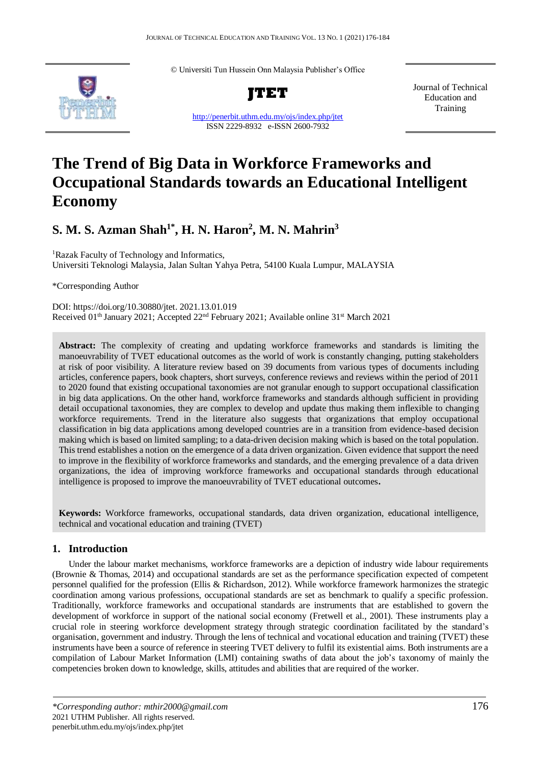© Universiti Tun Hussein Onn Malaysia Publisher's Office





<http://penerbit.uthm.edu.my/ojs/index.php/jtet> ISSN 2229-8932 e-ISSN 2600-7932

Journal of Technical Education and Training

# **The Trend of Big Data in Workforce Frameworks and Occupational Standards towards an Educational Intelligent Economy**

## **S. M. S. Azman Shah1\* , H. N. Haron<sup>2</sup> , M. N. Mahrin<sup>3</sup>**

<sup>1</sup>Razak Faculty of Technology and Informatics, Universiti Teknologi Malaysia, Jalan Sultan Yahya Petra, 54100 Kuala Lumpur, MALAYSIA

\*Corresponding Author

DOI: https://doi.org/10.30880/jtet. 2021.13.01.019 Received 01<sup>th</sup> January 2021; Accepted 22<sup>nd</sup> February 2021; Available online 31<sup>st</sup> March 2021

**Abstract:** The complexity of creating and updating workforce frameworks and standards is limiting the manoeuvrability of TVET educational outcomes as the world of work is constantly changing, putting stakeholders at risk of poor visibility. A literature review based on 39 documents from various types of documents including articles, conference papers, book chapters, short surveys, conference reviews and reviews within the period of 2011 to 2020 found that existing occupational taxonomies are not granular enough to support occupational classification in big data applications. On the other hand, workforce frameworks and standards although sufficient in providing detail occupational taxonomies, they are complex to develop and update thus making them inflexible to changing workforce requirements. Trend in the literature also suggests that organizations that employ occupational classification in big data applications among developed countries are in a transition from evidence-based decision making which is based on limited sampling; to a data-driven decision making which is based on the total population. This trend establishes a notion on the emergence of a data driven organization. Given evidence that support the need to improve in the flexibility of workforce frameworks and standards, and the emerging prevalence of a data driven organizations, the idea of improving workforce frameworks and occupational standards through educational intelligence is proposed to improve the manoeuvrability of TVET educational outcomes**.**

**Keywords:** Workforce frameworks, occupational standards, data driven organization, educational intelligence, technical and vocational education and training (TVET)

## **1. Introduction**

Under the labour market mechanisms, workforce frameworks are a depiction of industry wide labour requirements (Brownie & Thomas, 2014) and occupational standards are set as the performance specification expected of competent personnel qualified for the profession (Ellis & Richardson, 2012). While workforce framework harmonizes the strategic coordination among various professions, occupational standards are set as benchmark to qualify a specific profession. Traditionally, workforce frameworks and occupational standards are instruments that are established to govern the development of workforce in support of the national social economy (Fretwell et al., 2001). These instruments play a crucial role in steering workforce development strategy through strategic coordination facilitated by the standard's organisation, government and industry. Through the lens of technical and vocational education and training (TVET) these instruments have been a source of reference in steering TVET delivery to fulfil its existential aims. Both instruments are a compilation of Labour Market Information (LMI) containing swaths of data about the job's taxonomy of mainly the competencies broken down to knowledge, skills, attitudes and abilities that are required of the worker.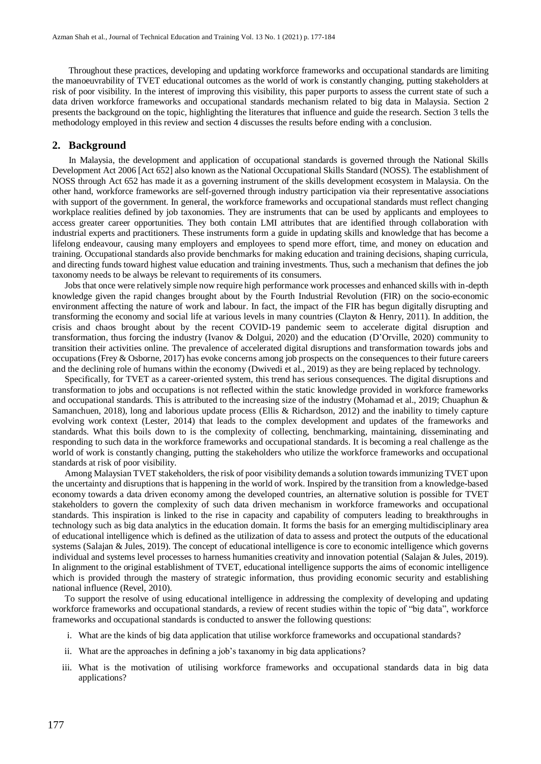Throughout these practices, developing and updating workforce frameworks and occupational standards are limiting the manoeuvrability of TVET educational outcomes as the world of work is constantly changing, putting stakeholders at risk of poor visibility. In the interest of improving this visibility, this paper purports to assess the current state of such a data driven workforce frameworks and occupational standards mechanism related to big data in Malaysia. Section 2 presents the background on the topic, highlighting the literatures that influence and guide the research. Section 3 tells the methodology employed in this review and section 4 discusses the results before ending with a conclusion.

## **2. Background**

In Malaysia, the development and application of occupational standards is governed through the National Skills Development Act 2006 [Act 652] also known as the National Occupational Skills Standard (NOSS). The establishment of NOSS through Act 652 has made it as a governing instrument of the skills development ecosystem in Malaysia. On the other hand, workforce frameworks are self-governed through industry participation via their representative associations with support of the government. In general, the workforce frameworks and occupational standards must reflect changing workplace realities defined by job taxonomies. They are instruments that can be used by applicants and employees to access greater career opportunities. They both contain LMI attributes that are identified through collaboration with industrial experts and practitioners. These instruments form a guide in updating skills and knowledge that has become a lifelong endeavour, causing many employers and employees to spend more effort, time, and money on education and training. Occupational standards also provide benchmarks for making education and training decisions, shaping curricula, and directing funds toward highest value education and training investments. Thus, such a mechanism that defines the job taxonomy needs to be always be relevant to requirements of its consumers.

Jobs that once were relatively simple now require high performance work processes and enhanced skills with in-depth knowledge given the rapid changes brought about by the Fourth Industrial Revolution (FIR) on the socio-economic environment affecting the nature of work and labour. In fact, the impact of the FIR has begun digitally disrupting and transforming the economy and social life at various levels in many countries (Clayton & Henry, 2011). In addition, the crisis and chaos brought about by the recent COVID-19 pandemic seem to accelerate digital disruption and transformation, thus forcing the industry (Ivanov & Dolgui, 2020) and the education (D'Orville, 2020) community to transition their activities online. The prevalence of accelerated digital disruptions and transformation towards jobs and occupations (Frey & Osborne, 2017) has evoke concerns among job prospects on the consequences to their future careers and the declining role of humans within the economy (Dwivedi et al., 2019) as they are being replaced by technology.

Specifically, for TVET as a career-oriented system, this trend has serious consequences. The digital disruptions and transformation to jobs and occupations is not reflected within the static knowledge provided in workforce frameworks and occupational standards. This is attributed to the increasing size of the industry (Mohamad et al., 2019; Chuaphun & Samanchuen, 2018), long and laborious update process (Ellis & Richardson, 2012) and the inability to timely capture evolving work context (Lester, 2014) that leads to the complex development and updates of the frameworks and standards. What this boils down to is the complexity of collecting, benchmarking, maintaining, disseminating and responding to such data in the workforce frameworks and occupational standards. It is becoming a real challenge as the world of work is constantly changing, putting the stakeholders who utilize the workforce frameworks and occupational standards at risk of poor visibility.

Among Malaysian TVET stakeholders, the risk of poor visibility demands a solution towards immunizing TVET upon the uncertainty and disruptions that is happening in the world of work. Inspired by the transition from a knowledge-based economy towards a data driven economy among the developed countries, an alternative solution is possible for TVET stakeholders to govern the complexity of such data driven mechanism in workforce frameworks and occupational standards. This inspiration is linked to the rise in capacity and capability of computers leading to breakthroughs in technology such as big data analytics in the education domain. It forms the basis for an emerging multidisciplinary area of educational intelligence which is defined as the utilization of data to assess and protect the outputs of the educational systems (Salajan & Jules, 2019). The concept of educational intelligence is core to economic intelligence which governs individual and systems level processes to harness humanities creativity and innovation potential (Salajan & Jules, 2019). In alignment to the original establishment of TVET, educational intelligence supports the aims of economic intelligence which is provided through the mastery of strategic information, thus providing economic security and establishing national influence (Revel, 2010).

To support the resolve of using educational intelligence in addressing the complexity of developing and updating workforce frameworks and occupational standards, a review of recent studies within the topic of "big data", workforce frameworks and occupational standards is conducted to answer the following questions:

- i. What are the kinds of big data application that utilise workforce frameworks and occupational standards?
- ii. What are the approaches in defining a job's taxanomy in big data applications?
- iii. What is the motivation of utilising workforce frameworks and occupational standards data in big data applications?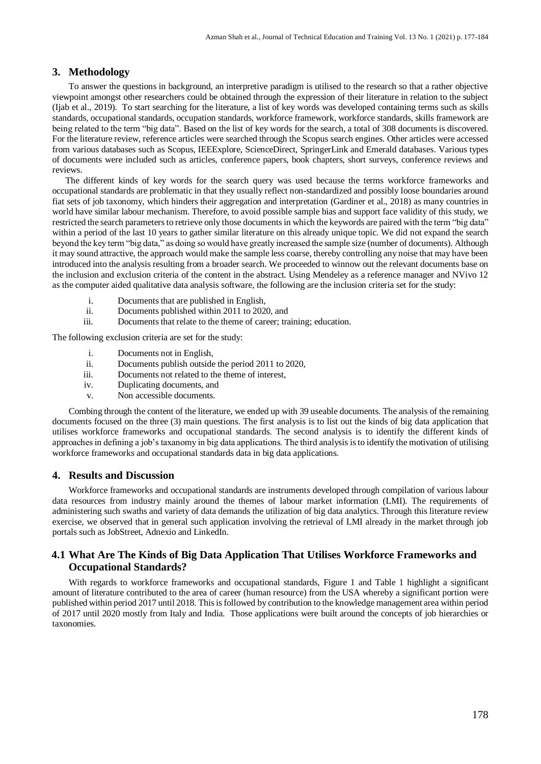## **3. Methodology**

To answer the questions in background, an interpretive paradigm is utilised to the research so that a rather objective viewpoint amongst other researchers could be obtained through the expression of their literature in relation to the subject (Ijab et al., 2019). To start searching for the literature, a list of key words was developed containing terms such as skills standards, occupational standards, occupation standards, workforce framework, workforce standards, skills framework are being related to the term "big data". Based on the list of key words for the search, a total of 308 documents is discovered. For the literature review, reference articles were searched through the Scopus search engines. Other articles were accessed from various databases such as Scopus, IEEExplore, ScienceDirect, SpringerLink and Emerald databases. Various types of documents were included such as articles, conference papers, book chapters, short surveys, conference reviews and reviews.

The different kinds of key words for the search query was used because the terms workforce frameworks and occupational standards are problematic in that they usually reflect non-standardized and possibly loose boundaries around fiat sets of job taxonomy, which hinders their aggregation and interpretation (Gardiner et al., 2018) as many countries in world have similar labour mechanism. Therefore, to avoid possible sample bias and support face validity of this study, we restricted the search parameters to retrieve only those documents in which the keywords are paired with the term "big data" within a period of the last 10 years to gather similar literature on this already unique topic. We did not expand the search beyond the key term "big data," as doing so would have greatly increased the sample size (number of documents). Although it may sound attractive, the approach would make the sample less coarse, thereby controlling any noise that may have been introduced into the analysis resulting from a broader search. We proceeded to winnow out the relevant documents base on the inclusion and exclusion criteria of the content in the abstract. Using Mendeley as a reference manager and NVivo 12 as the computer aided qualitative data analysis software, the following are the inclusion criteria set for the study:

- i. Documents that are published in English,
- ii. Documents published within 2011 to 2020, and
- iii. Documents that relate to the theme of career; training; education.

The following exclusion criteria are set for the study:

- i. Documents not in English,
- ii. Documents publish outside the period 2011 to 2020,
- iii. Documents not related to the theme of interest,
- iv. Duplicating documents, and
- v. Non accessible documents.

Combing through the content of the literature, we ended up with 39 useable documents. The analysis of the remaining documents focused on the three (3) main questions. The first analysis is to list out the kinds of big data application that utilises workforce frameworks and occupational standards. The second analysis is to identify the different kinds of approaches in defining a job's taxanomy in big data applications. The third analysis isto identify the motivation of utilising workforce frameworks and occupational standards data in big data applications.

## **4. Results and Discussion**

Workforce frameworks and occupational standards are instruments developed through compilation of various labour data resources from industry mainly around the themes of labour market information (LMI). The requirements of administering such swaths and variety of data demands the utilization of big data analytics. Through this literature review exercise, we observed that in general such application involving the retrieval of LMI already in the market through job portals such as JobStreet, Adnexio and LinkedIn.

## **4.1 What Are The Kinds of Big Data Application That Utilises Workforce Frameworks and Occupational Standards?**

With regards to workforce frameworks and occupational standards, Figure 1 and Table 1 highlight a significant amount of literature contributed to the area of career (human resource) from the USA whereby a significant portion were published within period 2017 until 2018. This is followed by contribution to the knowledge management area within period of 2017 until 2020 mostly from Italy and India. Those applications were built around the concepts of job hierarchies or taxonomies.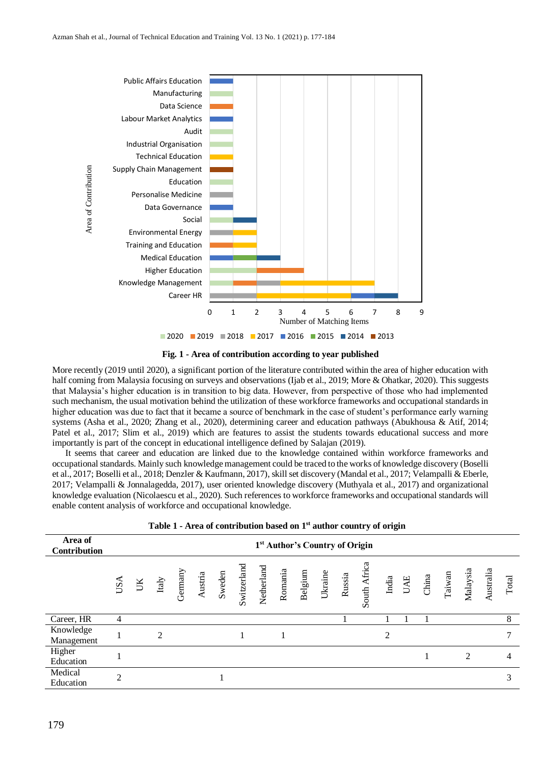

**Fig. 1 - Area of contribution according to year published**

More recently (2019 until 2020), a significant portion of the literature contributed within the area of higher education with half coming from Malaysia focusing on surveys and observations (Ijab et al., 2019; More & Ohatkar, 2020). This suggests that Malaysia's higher education is in transition to big data. However, from perspective of those who had implemented such mechanism, the usual motivation behind the utilization of these workforce frameworks and occupational standards in higher education was due to fact that it became a source of benchmark in the case of student's performance early warning systems (Asha et al., 2020; Zhang et al., 2020), determining career and education pathways (Abukhousa & Atif, 2014; Patel et al., 2017; Slim et al., 2019) which are features to assist the students towards educational success and more importantly is part of the concept in educational intelligence defined by Salajan (2019).

It seems that career and education are linked due to the knowledge contained within workforce frameworks and occupational standards. Mainly such knowledge management could be traced to the works of knowledge discovery (Boselli et al., 2017; Boselli et al., 2018; Denzler & Kaufmann, 2017), skill set discovery (Mandal et al., 2017; Velampalli & Eberle, 2017; Velampalli & Jonnalagedda, 2017), user oriented knowledge discovery (Muthyala et al., 2017) and organizational knowledge evaluation (Nicolaescu et al., 2020). Such references to workforce frameworks and occupational standards will enable content analysis of workforce and occupational knowledge.

| Area of<br>Contribution | 1 <sup>st</sup> Author's Country of Origin |    |                |                                                                 |  |        |             |            |         |  |                                                            |        |              |                |  |                                                         |       |
|-------------------------|--------------------------------------------|----|----------------|-----------------------------------------------------------------|--|--------|-------------|------------|---------|--|------------------------------------------------------------|--------|--------------|----------------|--|---------------------------------------------------------|-------|
|                         | USA                                        | UK | $_{\rm Italy}$ | $\begin{array}{ll} \text{Germany}\\ \text{Austria} \end{array}$ |  | Sweden | Switzerland | Netherland | Romania |  | $\begin{array}{c} \rm{Belgium}\\ \rm{Ukraine} \end{array}$ | Russia | South Africa |                |  | India<br>UAE<br>China<br>Taiwan<br>Malaysia<br>Malaysia | Total |
| Career, HR              | $\overline{4}$                             |    |                |                                                                 |  |        |             |            |         |  |                                                            |        |              |                |  |                                                         | 8     |
| Knowledge<br>Management |                                            |    | $\mathfrak{D}$ |                                                                 |  |        |             |            |         |  |                                                            |        |              | $\overline{2}$ |  |                                                         | 7     |
| Higher<br>Education     |                                            |    |                |                                                                 |  |        |             |            |         |  |                                                            |        |              |                |  | $\mathfrak{D}$                                          | 4     |
| Medical<br>Education    | $\mathcal{D}_{\mathcal{A}}$                |    |                |                                                                 |  |        |             |            |         |  |                                                            |        |              |                |  |                                                         | 3     |
|                         |                                            |    |                |                                                                 |  |        |             |            |         |  |                                                            |        |              |                |  |                                                         |       |

| Table 1 - Area of contribution based on 1 <sup>st</sup> author country of origin |  |  |  |  |  |
|----------------------------------------------------------------------------------|--|--|--|--|--|
|----------------------------------------------------------------------------------|--|--|--|--|--|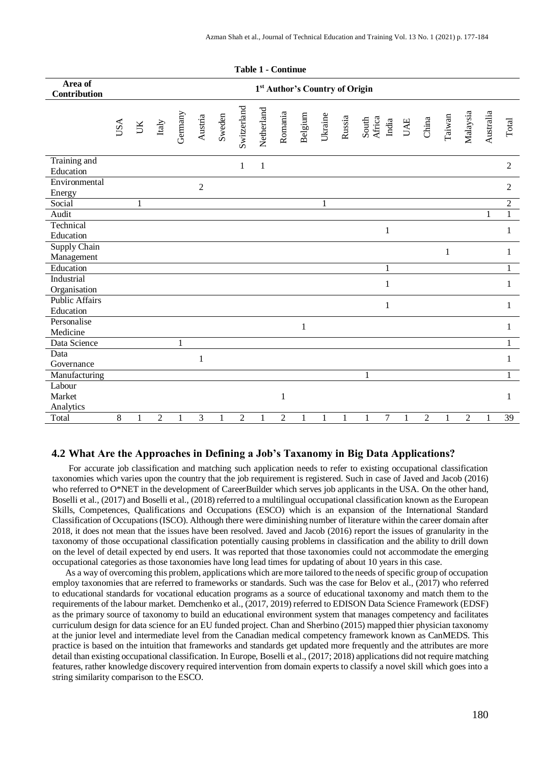| Area of<br>Contribution            | 1 <sup>st</sup> Author's Country of Origin |    |                             |              |                |              |                |              |                |              |              |              |                          |              |                |              |                |           |                 |
|------------------------------------|--------------------------------------------|----|-----------------------------|--------------|----------------|--------------|----------------|--------------|----------------|--------------|--------------|--------------|--------------------------|--------------|----------------|--------------|----------------|-----------|-----------------|
|                                    | USA                                        | LK | $\ensuremath{\text{Italy}}$ | Germany      | Austria        | Sweden       | Switzerland    | Netherland   | Romania        | Belgium      | Ukraine      | Russia       | South<br>Africa<br>India | UAE          | China          | Taiwan       | Malaysia       | Australia | Total           |
| Training and<br>Education          |                                            |    |                             |              |                |              | 1              | $\mathbf{1}$ |                |              |              |              |                          |              |                |              |                |           | $\overline{2}$  |
| Environmental<br>Energy            |                                            |    |                             |              | $\overline{2}$ |              |                |              |                |              |              |              |                          |              |                |              |                |           | $\overline{2}$  |
| Social                             |                                            | 1  |                             |              |                |              |                |              |                |              | $\mathbf{1}$ |              |                          |              |                |              |                |           | $\overline{2}$  |
| Audit                              |                                            |    |                             |              |                |              |                |              |                |              |              |              |                          |              |                |              |                | 1         | $\mathbf{1}$    |
| Technical<br>Education             |                                            |    |                             |              |                |              |                |              |                |              |              |              | $\mathbf{1}$             |              |                |              |                |           | 1               |
| Supply Chain<br>Management         |                                            |    |                             |              |                |              |                |              |                |              |              |              |                          |              |                | $\mathbf{1}$ |                |           | 1               |
| Education                          |                                            |    |                             |              |                |              |                |              |                |              |              |              | $\mathbf{1}$             |              |                |              |                |           | 1               |
| Industrial<br>Organisation         |                                            |    |                             |              |                |              |                |              |                |              |              |              | 1                        |              |                |              |                |           | 1               |
| <b>Public Affairs</b><br>Education |                                            |    |                             |              |                |              |                |              |                |              |              |              | $\mathbf{1}$             |              |                |              |                |           | 1               |
| Personalise<br>Medicine            |                                            |    |                             |              |                |              |                |              |                | $\mathbf{1}$ |              |              |                          |              |                |              |                |           | 1               |
| Data Science                       |                                            |    |                             | 1            |                |              |                |              |                |              |              |              |                          |              |                |              |                |           | 1               |
| Data<br>Governance                 |                                            |    |                             |              | $\mathbf{1}$   |              |                |              |                |              |              |              |                          |              |                |              |                |           | 1               |
| Manufacturing                      |                                            |    |                             |              |                |              |                |              |                |              |              |              | 1                        |              |                |              |                |           | 1               |
| Labour<br>Market                   |                                            |    |                             |              |                |              |                |              | $\mathbf{1}$   |              |              |              |                          |              |                |              |                |           | 1               |
| Analytics<br>Total                 | 8                                          | 1  | $\overline{2}$              | $\mathbf{1}$ | $\overline{3}$ | $\mathbf{1}$ | $\overline{2}$ | $\mathbf{1}$ | $\overline{2}$ | $\mathbf{1}$ | 1            | $\mathbf{1}$ | $\tau$<br>$\mathbf{1}$   | $\mathbf{1}$ | $\overline{2}$ | $\mathbf{1}$ | $\overline{2}$ | 1         | $\overline{39}$ |

#### **Table 1 - Continue**

## **4.2 What Are the Approaches in Defining a Job's Taxanomy in Big Data Applications?**

For accurate job classification and matching such application needs to refer to existing occupational classification taxonomies which varies upon the country that the job requirement is registered. Such in case of Javed and Jacob (2016) who referred to O\*NET in the development of CareerBuilder which serves job applicants in the USA. On the other hand, Boselli et al., (2017) and Boselli et al., (2018) referred to a multilingual occupational classification known as the European Skills, Competences, Qualifications and Occupations (ESCO) which is an expansion of the International Standard Classification of Occupations (ISCO). Although there were diminishing number of literature within the career domain after 2018, it does not mean that the issues have been resolved. Javed and Jacob (2016) report the issues of granularity in the taxonomy of those occupational classification potentially causing problems in classification and the ability to drill down on the level of detail expected by end users. It was reported that those taxonomies could not accommodate the emerging occupational categories as those taxonomies have long lead times for updating of about 10 years in this case.

As a way of overcoming this problem, applications which are more tailored to the needs of specific group of occupation employ taxonomies that are referred to frameworks or standards. Such was the case for Belov et al., (2017) who referred to educational standards for vocational education programs as a source of educational taxonomy and match them to the requirements of the labour market. Demchenko et al., (2017, 2019) referred to EDISON Data Science Framework (EDSF) as the primary source of taxonomy to build an educational environment system that manages competency and facilitates curriculum design for data science for an EU funded project. Chan and Sherbino (2015) mapped thier physician taxonomy at the junior level and intermediate level from the Canadian medical competency framework known as CanMEDS. This practice is based on the intuition that frameworks and standards get updated more frequently and the attributes are more detail than existing occupational classification. In Europe, Boselli et al., (2017; 2018) applications did not require matching features, rather knowledge discovery required intervention from domain experts to classify a novel skill which goes into a string similarity comparison to the ESCO.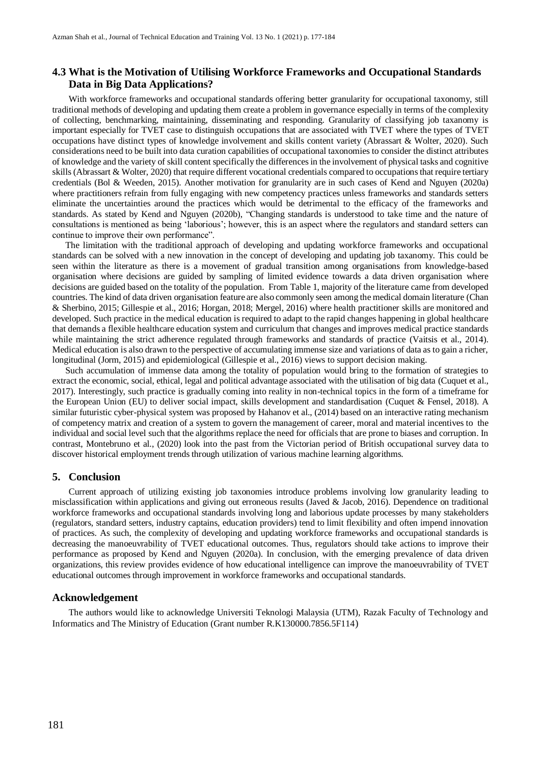## **4.3 What is the Motivation of Utilising Workforce Frameworks and Occupational Standards Data in Big Data Applications?**

With workforce frameworks and occupational standards offering better granularity for occupational taxonomy, still traditional methods of developing and updating them create a problem in governance especially in terms of the complexity of collecting, benchmarking, maintaining, disseminating and responding. Granularity of classifying job taxanomy is important especially for TVET case to distinguish occupations that are associated with TVET where the types of TVET occupations have distinct types of knowledge involvement and skills content variety (Abrassart & Wolter, 2020). Such considerations need to be built into data curation capabilities of occupational taxonomies to consider the distinct attributes of knowledge and the variety of skill content specifically the differences in the involvement of physical tasks and cognitive skills (Abrassart & Wolter, 2020) that require different vocational credentials compared to occupations that require tertiary credentials (Bol & Weeden, 2015). Another motivation for granularity are in such cases of Kend and Nguyen (2020a) where practitioners refrain from fully engaging with new competency practices unless frameworks and standards setters eliminate the uncertainties around the practices which would be detrimental to the efficacy of the frameworks and standards. As stated by Kend and Nguyen (2020b), "Changing standards is understood to take time and the nature of consultations is mentioned as being 'laborious'; however, this is an aspect where the regulators and standard setters can continue to improve their own performance".

The limitation with the traditional approach of developing and updating workforce frameworks and occupational standards can be solved with a new innovation in the concept of developing and updating job taxanomy. This could be seen within the literature as there is a movement of gradual transition among organisations from knowledge-based organisation where decisions are guided by sampling of limited evidence towards a data driven organisation where decisions are guided based on the totality of the population. From Table 1, majority of the literature came from developed countries. The kind of data driven organisation feature are also commonly seen among the medical domain literature (Chan & Sherbino, 2015; Gillespie et al., 2016; Horgan, 2018; Mergel, 2016) where health practitioner skills are monitored and developed. Such practice in the medical education is required to adapt to the rapid changes happening in global healthcare that demands a flexible healthcare education system and curriculum that changes and improves medical practice standards while maintaining the strict adherence regulated through frameworks and standards of practice (Vaitsis et al., 2014). Medical education is also drawn to the perspective of accumulating immense size and variations of data as to gain a richer, longitudinal (Jorm, 2015) and epidemiological (Gillespie et al., 2016) views to support decision making.

Such accumulation of immense data among the totality of population would bring to the formation of strategies to extract the economic, social, ethical, legal and political advantage associated with the utilisation of big data (Cuquet et al., 2017). Interestingly, such practice is gradually coming into reality in non-technical topics in the form of a timeframe for the European Union (EU) to deliver social impact, skills development and standardisation (Cuquet & Fensel, 2018). A similar futuristic cyber-physical system was proposed by Hahanov et al., (2014) based on an interactive rating mechanism of competency matrix and creation of a system to govern the management of career, moral and material incentives to the individual and social level such that the algorithms replace the need for officials that are prone to biases and corruption. In contrast, Montebruno et al., (2020) look into the past from the Victorian period of British occupational survey data to discover historical employment trends through utilization of various machine learning algorithms.

## **5. Conclusion**

Current approach of utilizing existing job taxonomies introduce problems involving low granularity leading to misclassification within applications and giving out erroneous results (Javed & Jacob, 2016). Dependence on traditional workforce frameworks and occupational standards involving long and laborious update processes by many stakeholders (regulators, standard setters, industry captains, education providers) tend to limit flexibility and often impend innovation of practices. As such, the complexity of developing and updating workforce frameworks and occupational standards is decreasing the manoeuvrability of TVET educational outcomes. Thus, regulators should take actions to improve their performance as proposed by Kend and Nguyen (2020a). In conclusion, with the emerging prevalence of data driven organizations, this review provides evidence of how educational intelligence can improve the manoeuvrability of TVET educational outcomes through improvement in workforce frameworks and occupational standards.

### **Acknowledgement**

The authors would like to acknowledge Universiti Teknologi Malaysia (UTM), Razak Faculty of Technology and Informatics and The Ministry of Education (Grant number R.K130000.7856.5F114)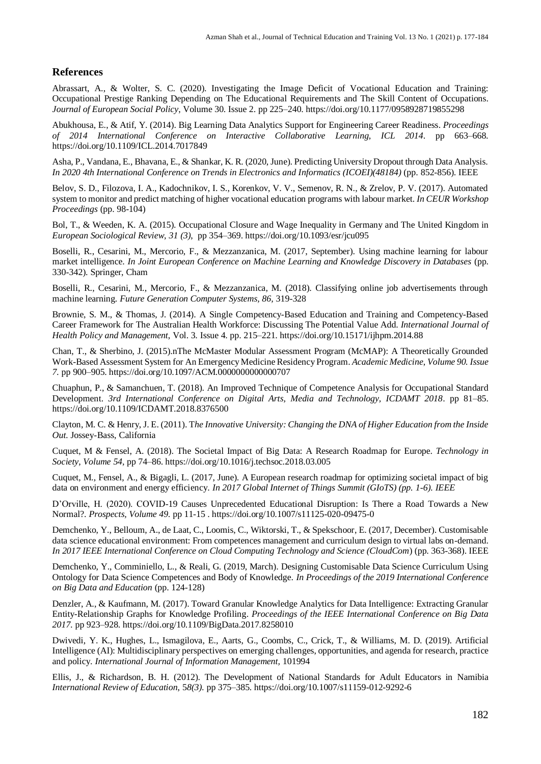## **References**

Abrassart, A., & Wolter, S. C. (2020). Investigating the Image Deficit of Vocational Education and Training: Occupational Prestige Ranking Depending on The Educational Requirements and The Skill Content of Occupations. *Journal of European Social Policy*, Volume 30. Issue 2. pp 225–240. https://doi.org/10.1177/0958928719855298

Abukhousa, E., & Atif, Y. (2014). Big Learning Data Analytics Support for Engineering Career Readiness. *Proceedings of 2014 International Conference on Interactive Collaborative Learning, ICL 2014*. pp 663–668. https://doi.org/10.1109/ICL.2014.7017849

Asha, P., Vandana, E., Bhavana, E., & Shankar, K. R. (2020, June). Predicting University Dropout through Data Analysis. *In 2020 4th International Conference on Trends in Electronics and Informatics (ICOEI)(48184)* (pp. 852-856). IEEE

Belov, S. D., Filozova, I. A., Kadochnikov, I. S., Korenkov, V. V., Semenov, R. N., & Zrelov, P. V. (2017). Automated system to monitor and predict matching of higher vocational education programs with labour market. *In CEUR Workshop Proceedings* (pp. 98-104)

Bol, T., & Weeden, K. A. (2015). Occupational Closure and Wage Inequality in Germany and The United Kingdom in *European Sociological Review, 31 (3)*, pp 354–369. https://doi.org/10.1093/esr/jcu095

Boselli, R., Cesarini, M., Mercorio, F., & Mezzanzanica, M. (2017, September). Using machine learning for labour market intelligence. *In Joint European Conference on Machine Learning and Knowledge Discovery in Databases* (pp. 330-342). Springer, Cham

Boselli, R., Cesarini, M., Mercorio, F., & Mezzanzanica, M. (2018). Classifying online job advertisements through machine learning. *Future Generation Computer Systems, 86,* 319-328

Brownie, S. M., & Thomas, J. (2014). A Single Competency-Based Education and Training and Competency-Based Career Framework for The Australian Health Workforce: Discussing The Potential Value Add. *International Journal of Health Policy and Management*, Vol. 3. Issue 4. pp. 215–221. https://doi.org/10.15171/ijhpm.2014.88

Chan, T., & Sherbino, J. (2015).nThe McMaster Modular Assessment Program (McMAP): A Theoretically Grounded Work-Based Assessment System for An Emergency Medicine Residency Program. *Academic Medicine*, *Volume 90. Issue 7.* pp 900–905. https://doi.org/10.1097/ACM.0000000000000707

Chuaphun, P., & Samanchuen, T. (2018). An Improved Technique of Competence Analysis for Occupational Standard Development. *3rd International Conference on Digital Arts, Media and Technology, ICDAMT 2018*. pp 81–85. https://doi.org/10.1109/ICDAMT.2018.8376500

Clayton, M. C. & Henry, J. E. (2011). T*he Innovative University: Changing the DNA of Higher Education from the Inside Out.* Jossey-Bass, California

Cuquet, M & Fensel, A. (2018). The Societal Impact of Big Data: A Research Roadmap for Europe. *Technology in Society*, *Volume 54,* pp 74–86. https://doi.org/10.1016/j.techsoc.2018.03.005

Cuquet, M., Fensel, A., & Bigagli, L. (2017, June). A European research roadmap for optimizing societal impact of big data on environment and energy efficiency. *In 2017 Global Internet of Things Summit (GIoTS) (pp. 1-6). IEEE*

D'Orville, H. (2020). COVID-19 Causes Unprecedented Educational Disruption: Is There a Road Towards a New Normal?. *Prospects, Volume 49*. pp 11-15 . https://doi.org/10.1007/s11125-020-09475-0

Demchenko, Y., Belloum, A., de Laat, C., Loomis, C., Wiktorski, T., & Spekschoor, E. (2017, December). Customisable data science educational environment: From competences management and curriculum design to virtual labs on-demand. *In 2017 IEEE International Conference on Cloud Computing Technology and Science (CloudCom*) (pp. 363-368). IEEE

Demchenko, Y., Comminiello, L., & Reali, G. (2019, March). Designing Customisable Data Science Curriculum Using Ontology for Data Science Competences and Body of Knowledge. *In Proceedings of the 2019 International Conference on Big Data and Education* (pp. 124-128)

Denzler, A., & Kaufmann, M. (2017). Toward Granular Knowledge Analytics for Data Intelligence: Extracting Granular Entity-Relationship Graphs for Knowledge Profiling. *Proceedings of the IEEE International Conference on Big Data 2017.* pp 923–928. https://doi.org/10.1109/BigData.2017.8258010

Dwivedi, Y. K., Hughes, L., Ismagilova, E., Aarts, G., Coombs, C., Crick, T., & Williams, M. D. (2019). Artificial Intelligence (AI): Multidisciplinary perspectives on emerging challenges, opportunities, and agenda for research, practice and policy. *International Journal of Information Management,* 101994

Ellis, J., & Richardson, B. H. (2012). The Development of National Standards for Adult Educators in Namibia *International Review of Education*, 5*8(3)*. pp 375–385. https://doi.org/10.1007/s11159-012-9292-6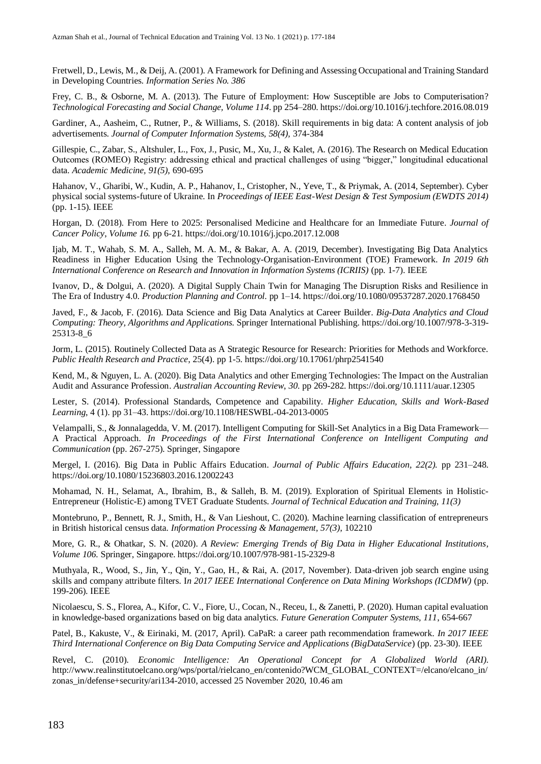Fretwell, D., Lewis, M., & Deij, A. (2001). A Framework for Defining and Assessing Occupational and Training Standard in Developing Countries*. Information Series No. 386*

Frey, C. B., & Osborne, M. A. (2013). The Future of Employment: How Susceptible are Jobs to Computerisation? *Technological Forecasting and Social Change, Volume 114*. pp 254–280. https://doi.org/10.1016/j.techfore.2016.08.019

Gardiner, A., Aasheim, C., Rutner, P., & Williams, S. (2018). Skill requirements in big data: A content analysis of job advertisements. *Journal of Computer Information Systems, 58(4),* 374-384

Gillespie, C., Zabar, S., Altshuler, L., Fox, J., Pusic, M., Xu, J., & Kalet, A. (2016). The Research on Medical Education Outcomes (ROMEO) Registry: addressing ethical and practical challenges of using "bigger," longitudinal educational data*. Academic Medicine, 91(5)*, 690-695

Hahanov, V., Gharibi, W., Kudin, A. P., Hahanov, I., Cristopher, N., Yeve, T., & Priymak, A. (2014, September). Cyber physical social systems-future of Ukraine. In *Proceedings of IEEE East-West Design & Test Symposium (EWDTS 2014)*  (pp. 1-15). IEEE

Horgan, D. (2018). From Here to 2025: Personalised Medicine and Healthcare for an Immediate Future. *Journal of Cancer Policy*, *Volume 16.* pp 6-21. https://doi.org/10.1016/j.jcpo.2017.12.008

Ijab, M. T., Wahab, S. M. A., Salleh, M. A. M., & Bakar, A. A. (2019, December). Investigating Big Data Analytics Readiness in Higher Education Using the Technology-Organisation-Environment (TOE) Framework. *In 2019 6th International Conference on Research and Innovation in Information Systems (ICRIIS)* (pp. 1-7). IEEE

Ivanov, D., & Dolgui, A. (2020). A Digital Supply Chain Twin for Managing The Disruption Risks and Resilience in The Era of Industry 4.0. *Production Planning and Control.* pp 1–14. https://doi.org/10.1080/09537287.2020.1768450

Javed, F., & Jacob, F. (2016). Data Science and Big Data Analytics at Career Builder. *Big-Data Analytics and Cloud Computing: Theory, Algorithms and Applications.* Springer International Publishing. https://doi.org/10.1007/978-3-319- 25313-8\_6

Jorm, L. (2015). Routinely Collected Data as A Strategic Resource for Research: Priorities for Methods and Workforce. *Public Health Research and Practice*, 25(4). pp 1-5. https://doi.org/10.17061/phrp2541540

Kend, M., & Nguyen, L. A. (2020). Big Data Analytics and other Emerging Technologies: The Impact on the Australian Audit and Assurance Profession. *Australian Accounting Review*, *30.* pp 269-282. https://doi.org/10.1111/auar.12305

Lester, S. (2014). Professional Standards, Competence and Capability. *Higher Education, Skills and Work-Based Learning*, 4 (1). pp 31–43. https://doi.org/10.1108/HESWBL-04-2013-0005

Velampalli, S., & Jonnalagedda, V. M. (2017). Intelligent Computing for Skill-Set Analytics in a Big Data Framework— A Practical Approach. *In Proceedings of the First International Conference on Intelligent Computing and Communication* (pp. 267-275). Springer, Singapore

Mergel, I. (2016). Big Data in Public Affairs Education. *Journal of Public Affairs Education, 22(2).* pp 231–248. https://doi.org/10.1080/15236803.2016.12002243

Mohamad, N. H., Selamat, A., Ibrahim, B., & Salleh, B. M. (2019). Exploration of Spiritual Elements in Holistic-Entrepreneur (Holistic-E) among TVET Graduate Students. *Journal of Technical Education and Training, 11(3)*

Montebruno, P., Bennett, R. J., Smith, H., & Van Lieshout, C. (2020). Machine learning classification of entrepreneurs in British historical census data. *Information Processing & Management, 57(3)*, 102210

More, G. R., & Ohatkar, S. N. (2020). *A Review: Emerging Trends of Big Data in Higher Educational Institutions, Volume 106.* Springer, Singapore. https://doi.org/10.1007/978-981-15-2329-8

Muthyala, R., Wood, S., Jin, Y., Qin, Y., Gao, H., & Rai, A. (2017, November). Data-driven job search engine using skills and company attribute filters. I*n 2017 IEEE International Conference on Data Mining Workshops (ICDMW)* (pp. 199-206). IEEE

Nicolaescu, S. S., Florea, A., Kifor, C. V., Fiore, U., Cocan, N., Receu, I., & Zanetti, P. (2020). Human capital evaluation in knowledge-based organizations based on big data analytics. *Future Generation Computer Systems, 111*, 654-667

Patel, B., Kakuste, V., & Eirinaki, M. (2017, April). CaPaR: a career path recommendation framework. *In 2017 IEEE Third International Conference on Big Data Computing Service and Applications (BigDataService*) (pp. 23-30). IEEE

Revel, C. (2010). *Economic Intelligence: An Operational Concept for A Globalized World (ARI)*. http://www.realinstitutoelcano.org/wps/portal/rielcano\_en/contenido?WCM\_GLOBAL\_CONTEXT=/elcano/elcano\_in/ zonas\_in/defense+security/ari134-2010, accessed 25 November 2020, 10.46 am